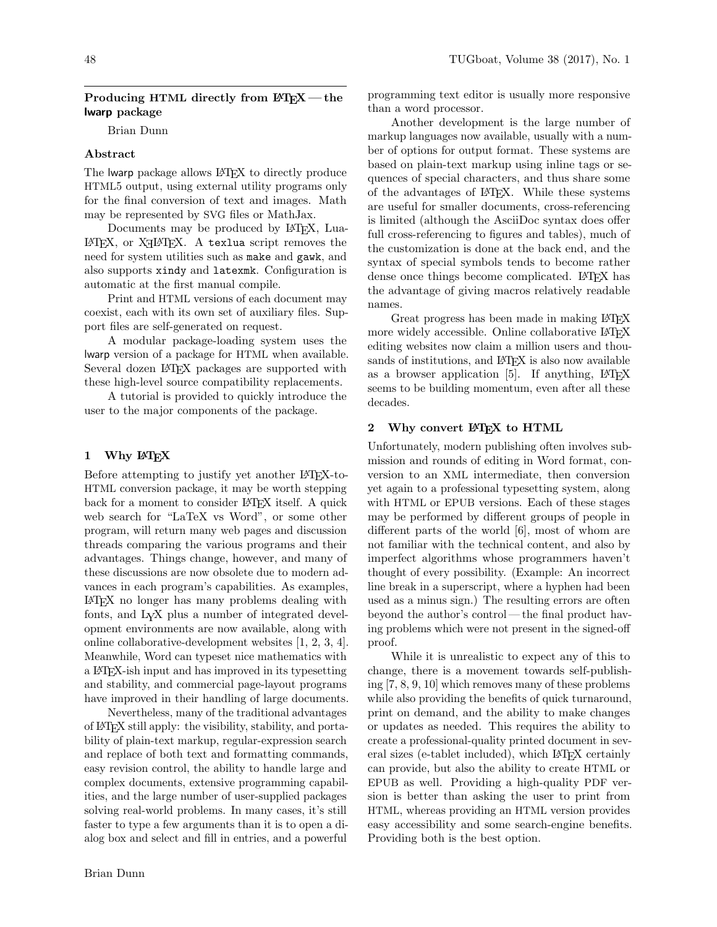## Producing HTML directly from  $\text{PTFX}$  — the lwarp package

Brian Dunn

## Abstract

The lwarp package allows LAT<sub>EX</sub> to directly produce HTML5 output, using external utility programs only for the final conversion of text and images. Math may be represented by SVG files or MathJax.

Documents may be produced by LAT<sub>EX</sub>, Lua-LAT<sub>E</sub>X, or X<sub>H</sub>LAT<sub>E</sub>X. A texlua script removes the need for system utilities such as make and gawk, and also supports xindy and latexmk. Configuration is automatic at the first manual compile.

Print and HTML versions of each document may coexist, each with its own set of auxiliary files. Support files are self-generated on request.

A modular package-loading system uses the lwarp version of a package for HTML when available. Several dozen LATEX packages are supported with these high-level source compatibility replacements.

A tutorial is provided to quickly introduce the user to the major components of the package.

## 1 Why LATEX

Before attempting to justify yet another LAT<sub>EX</sub>-to-HTML conversion package, it may be worth stepping back for a moment to consider LAT<sub>EX</sub> itself. A quick web search for "LaTeX vs Word", or some other program, will return many web pages and discussion threads comparing the various programs and their advantages. Things change, however, and many of these discussions are now obsolete due to modern advances in each program's capabilities. As examples, LATEX no longer has many problems dealing with fonts, and LYX plus a number of integrated development environments are now available, along with online collaborative-development websites [\[1,](#page-5-0) [2,](#page-5-1) [3,](#page-5-2) [4\]](#page-5-3). Meanwhile, Word can typeset nice mathematics with a LATEX-ish input and has improved in its typesetting and stability, and commercial page-layout programs have improved in their handling of large documents.

Nevertheless, many of the traditional advantages of LATEX still apply: the visibility, stability, and portability of plain-text markup, regular-expression search and replace of both text and formatting commands, easy revision control, the ability to handle large and complex documents, extensive programming capabilities, and the large number of user-supplied packages solving real-world problems. In many cases, it's still faster to type a few arguments than it is to open a dialog box and select and fill in entries, and a powerful

programming text editor is usually more responsive than a word processor.

Another development is the large number of markup languages now available, usually with a number of options for output format. These systems are based on plain-text markup using inline tags or sequences of special characters, and thus share some of the advantages of LATEX. While these systems are useful for smaller documents, cross-referencing is limited (although the AsciiDoc syntax does offer full cross-referencing to figures and tables), much of the customization is done at the back end, and the syntax of special symbols tends to become rather dense once things become complicated. LATEX has the advantage of giving macros relatively readable names.

Great progress has been made in making LAT<sub>EX</sub> more widely accessible. Online collaborative LATFX editing websites now claim a million users and thousands of institutions, and L<sup>AT</sup>EX is also now available as a browser application  $[5]$ . If anything,  $\text{LATEX}$ seems to be building momentum, even after all these decades.

### 2 Why convert L<sup>AT</sup>EX to HTML

Unfortunately, modern publishing often involves submission and rounds of editing in Word format, conversion to an XML intermediate, then conversion yet again to a professional typesetting system, along with HTML or EPUB versions. Each of these stages may be performed by different groups of people in different parts of the world [\[6\]](#page-5-5), most of whom are not familiar with the technical content, and also by imperfect algorithms whose programmers haven't thought of every possibility. (Example: An incorrect line break in a superscript, where a hyphen had been used as a minus sign.) The resulting errors are often beyond the author's control — the final product having problems which were not present in the signed-off proof.

While it is unrealistic to expect any of this to change, there is a movement towards self-publishing [\[7,](#page-5-6) [8,](#page-5-7) [9,](#page-5-8) [10\]](#page-5-9) which removes many of these problems while also providing the benefits of quick turnaround, print on demand, and the ability to make changes or updates as needed. This requires the ability to create a professional-quality printed document in several sizes (e-tablet included), which LAT<sub>EX</sub> certainly can provide, but also the ability to create HTML or EPUB as well. Providing a high-quality PDF version is better than asking the user to print from HTML, whereas providing an HTML version provides easy accessibility and some search-engine benefits. Providing both is the best option.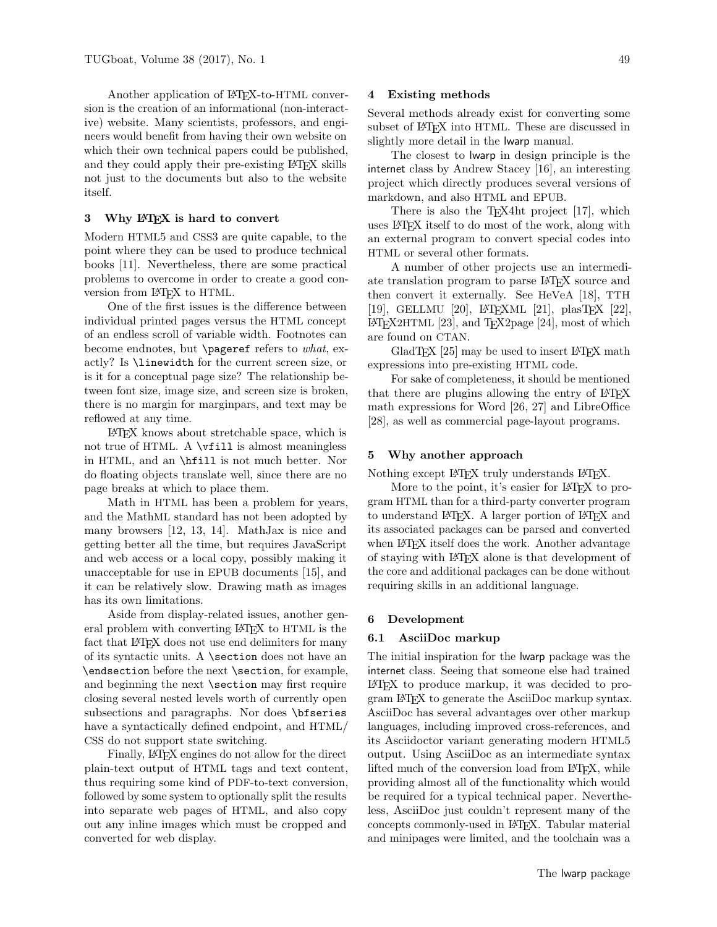Another application of LAT<sub>EX</sub>-to-HTML conversion is the creation of an informational (non-interactive) website. Many scientists, professors, and engineers would benefit from having their own website on which their own technical papers could be published, and they could apply their pre-existing LATEX skills not just to the documents but also to the website itself.

### 3 Why IATEX is hard to convert

Modern HTML5 and CSS3 are quite capable, to the point where they can be used to produce technical books [\[11\]](#page-5-10). Nevertheless, there are some practical problems to overcome in order to create a good conversion from LATEX to HTML.

One of the first issues is the difference between individual printed pages versus the HTML concept of an endless scroll of variable width. Footnotes can become endnotes, but \pageref refers to what, exactly? Is \linewidth for the current screen size, or is it for a conceptual page size? The relationship between font size, image size, and screen size is broken, there is no margin for marginpars, and text may be reflowed at any time.

LATEX knows about stretchable space, which is not true of HTML. A \vfill is almost meaningless in HTML, and an \hfill is not much better. Nor do floating objects translate well, since there are no page breaks at which to place them.

Math in HTML has been a problem for years, and the MathML standard has not been adopted by many browsers [\[12,](#page-5-11) [13,](#page-5-12) [14\]](#page-5-13). MathJax is nice and getting better all the time, but requires JavaScript and web access or a local copy, possibly making it unacceptable for use in EPUB documents [\[15\]](#page-5-14), and it can be relatively slow. Drawing math as images has its own limitations.

Aside from display-related issues, another general problem with converting LATEX to HTML is the fact that LATEX does not use end delimiters for many of its syntactic units. A \section does not have an \endsection before the next \section, for example, and beginning the next \section may first require closing several nested levels worth of currently open subsections and paragraphs. Nor does \bfseries have a syntactically defined endpoint, and HTML/ CSS do not support state switching.

Finally, LATEX engines do not allow for the direct plain-text output of HTML tags and text content, thus requiring some kind of PDF-to-text conversion, followed by some system to optionally split the results into separate web pages of HTML, and also copy out any inline images which must be cropped and converted for web display.

#### 4 Existing methods

Several methods already exist for converting some subset of LAT<sub>F</sub>X into HTML. These are discussed in slightly more detail in the lwarp manual.

The closest to lwarp in design principle is the internet class by Andrew Stacey [\[16\]](#page-5-15), an interesting project which directly produces several versions of markdown, and also HTML and EPUB.

There is also the TEX4ht project [\[17\]](#page-5-16), which uses LATEX itself to do most of the work, along with an external program to convert special codes into HTML or several other formats.

A number of other projects use an intermediate translation program to parse LATEX source and then convert it externally. See HeVeA [\[18\]](#page-5-17), TTH [\[19\]](#page-5-18), GELLMU [\[20\]](#page-5-19), L<sup>A</sup>TEXML [\[21\]](#page-5-20), plasTEX [\[22\]](#page-5-21),  $IAT$ <sub>F</sub>X2HTML [\[23\]](#page-5-22), and T<sub>F</sub>X2page [\[24\]](#page-5-23), most of which are found on CTAN.

GladT<sub>E</sub>X [\[25\]](#page-5-24) may be used to insert LAT<sub>E</sub>X math expressions into pre-existing HTML code.

For sake of completeness, it should be mentioned that there are plugins allowing the entry of LAT<sub>EX</sub> math expressions for Word [\[26,](#page-5-25) [27\]](#page-5-26) and LibreOffice [\[28\]](#page-5-27), as well as commercial page-layout programs.

#### 5 Why another approach

Nothing except LAT<sub>E</sub>X truly understands LAT<sub>E</sub>X.

More to the point, it's easier for LAT<sub>EX</sub> to program HTML than for a third-party converter program to understand LAT<sub>EX</sub>. A larger portion of LAT<sub>EX</sub> and its associated packages can be parsed and converted when LAT<sub>EX</sub> itself does the work. Another advantage of staying with LATEX alone is that development of the core and additional packages can be done without requiring skills in an additional language.

### 6 Development

#### 6.1 AsciiDoc markup

The initial inspiration for the lwarp package was the internet class. Seeing that someone else had trained LATEX to produce markup, it was decided to program LATEX to generate the AsciiDoc markup syntax. AsciiDoc has several advantages over other markup languages, including improved cross-references, and its Asciidoctor variant generating modern HTML5 output. Using AsciiDoc as an intermediate syntax lifted much of the conversion load from LAT<sub>EX</sub>, while providing almost all of the functionality which would be required for a typical technical paper. Nevertheless, AsciiDoc just couldn't represent many of the concepts commonly-used in LATEX. Tabular material and minipages were limited, and the toolchain was a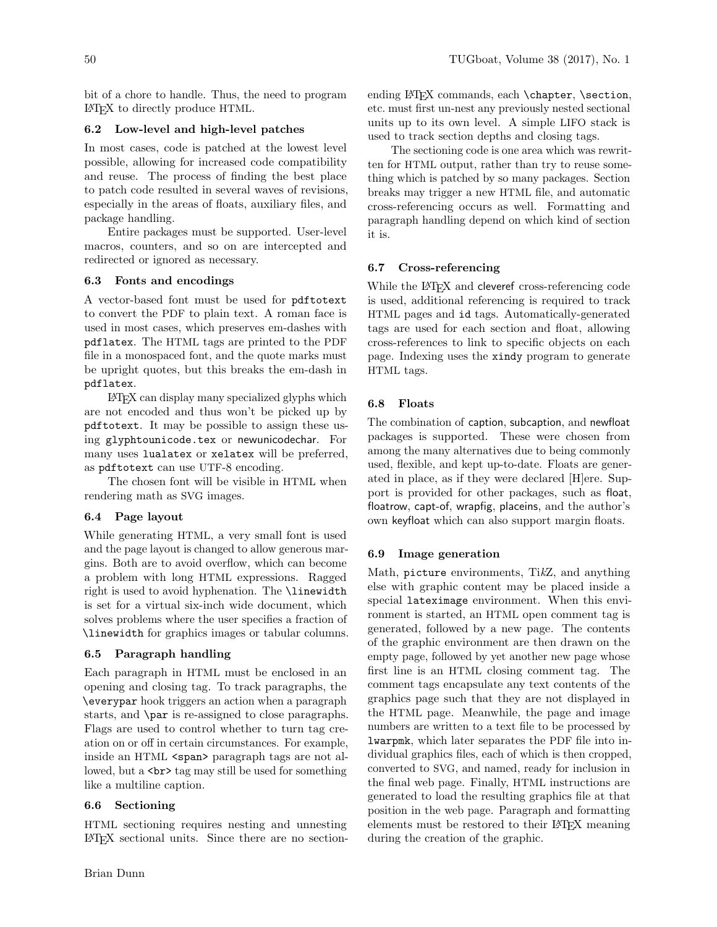bit of a chore to handle. Thus, the need to program LATEX to directly produce HTML.

## 6.2 Low-level and high-level patches

In most cases, code is patched at the lowest level possible, allowing for increased code compatibility and reuse. The process of finding the best place to patch code resulted in several waves of revisions, especially in the areas of floats, auxiliary files, and package handling.

Entire packages must be supported. User-level macros, counters, and so on are intercepted and redirected or ignored as necessary.

## 6.3 Fonts and encodings

A vector-based font must be used for pdftotext to convert the PDF to plain text. A roman face is used in most cases, which preserves em-dashes with pdflatex. The HTML tags are printed to the PDF file in a monospaced font, and the quote marks must be upright quotes, but this breaks the em-dash in pdflatex.

LATEX can display many specialized glyphs which are not encoded and thus won't be picked up by pdftotext. It may be possible to assign these using glyphtounicode.tex or newunicodechar. For many uses lualatex or xelatex will be preferred, as pdftotext can use UTF-8 encoding.

The chosen font will be visible in HTML when rendering math as SVG images.

## 6.4 Page layout

While generating HTML, a very small font is used and the page layout is changed to allow generous margins. Both are to avoid overflow, which can become a problem with long HTML expressions. Ragged right is used to avoid hyphenation. The \linewidth is set for a virtual six-inch wide document, which solves problems where the user specifies a fraction of \linewidth for graphics images or tabular columns.

## 6.5 Paragraph handling

Each paragraph in HTML must be enclosed in an opening and closing tag. To track paragraphs, the \everypar hook triggers an action when a paragraph starts, and \par is re-assigned to close paragraphs. Flags are used to control whether to turn tag creation on or off in certain circumstances. For example, inside an HTML <span> paragraph tags are not allowed, but a  $\text{str}$  tag may still be used for something like a multiline caption.

#### 6.6 Sectioning

HTML sectioning requires nesting and unnesting LATEX sectional units. Since there are no sectionending LATEX commands, each \chapter, \section, etc. must first un-nest any previously nested sectional units up to its own level. A simple LIFO stack is used to track section depths and closing tags.

The sectioning code is one area which was rewritten for HTML output, rather than try to reuse something which is patched by so many packages. Section breaks may trigger a new HTML file, and automatic cross-referencing occurs as well. Formatting and paragraph handling depend on which kind of section it is.

## 6.7 Cross-referencing

While the LAT<sub>EX</sub> and cleveref cross-referencing code is used, additional referencing is required to track HTML pages and id tags. Automatically-generated tags are used for each section and float, allowing cross-references to link to specific objects on each page. Indexing uses the xindy program to generate HTML tags.

## 6.8 Floats

The combination of caption, subcaption, and newfloat packages is supported. These were chosen from among the many alternatives due to being commonly used, flexible, and kept up-to-date. Floats are generated in place, as if they were declared [H]ere. Support is provided for other packages, such as float, floatrow, capt-of, wrapfig, placeins, and the author's own keyfloat which can also support margin floats.

#### 6.9 Image generation

Math, picture environments, TikZ, and anything else with graphic content may be placed inside a special lateximage environment. When this environment is started, an HTML open comment tag is generated, followed by a new page. The contents of the graphic environment are then drawn on the empty page, followed by yet another new page whose first line is an HTML closing comment tag. The comment tags encapsulate any text contents of the graphics page such that they are not displayed in the HTML page. Meanwhile, the page and image numbers are written to a text file to be processed by lwarpmk, which later separates the PDF file into individual graphics files, each of which is then cropped, converted to SVG, and named, ready for inclusion in the final web page. Finally, HTML instructions are generated to load the resulting graphics file at that position in the web page. Paragraph and formatting elements must be restored to their LATEX meaning during the creation of the graphic.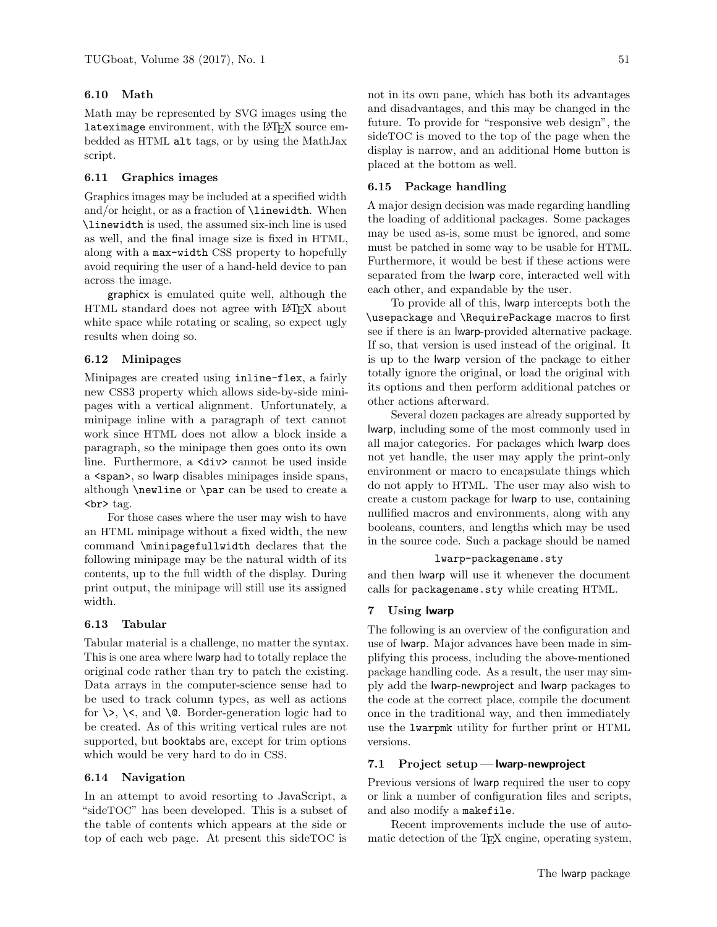## 6.10 Math

Math may be represented by SVG images using the lateximage environment, with the LATFX source embedded as HTML alt tags, or by using the MathJax script.

#### 6.11 Graphics images

Graphics images may be included at a specified width and/or height, or as a fraction of \linewidth. When \linewidth is used, the assumed six-inch line is used as well, and the final image size is fixed in HTML, along with a max-width CSS property to hopefully avoid requiring the user of a hand-held device to pan across the image.

graphicx is emulated quite well, although the HTML standard does not agree with LATEX about white space while rotating or scaling, so expect ugly results when doing so.

### 6.12 Minipages

Minipages are created using inline-flex, a fairly new CSS3 property which allows side-by-side minipages with a vertical alignment. Unfortunately, a minipage inline with a paragraph of text cannot work since HTML does not allow a block inside a paragraph, so the minipage then goes onto its own line. Furthermore, a <div> cannot be used inside a <span>, so lwarp disables minipages inside spans, although \newline or \par can be used to create a  $\mathbf{c}$ 

For those cases where the user may wish to have an HTML minipage without a fixed width, the new command \minipagefullwidth declares that the following minipage may be the natural width of its contents, up to the full width of the display. During print output, the minipage will still use its assigned width.

### 6.13 Tabular

Tabular material is a challenge, no matter the syntax. This is one area where lwarp had to totally replace the original code rather than try to patch the existing. Data arrays in the computer-science sense had to be used to track column types, as well as actions for  $\>$ ,  $\<$ , and  $\&$  Border-generation logic had to be created. As of this writing vertical rules are not supported, but booktabs are, except for trim options which would be very hard to do in CSS.

### 6.14 Navigation

In an attempt to avoid resorting to JavaScript, a "sideTOC" has been developed. This is a subset of the table of contents which appears at the side or top of each web page. At present this sideTOC is

### 6.15 Package handling

placed at the bottom as well.

A major design decision was made regarding handling the loading of additional packages. Some packages may be used as-is, some must be ignored, and some must be patched in some way to be usable for HTML. Furthermore, it would be best if these actions were separated from the lwarp core, interacted well with each other, and expandable by the user.

display is narrow, and an additional Home button is

To provide all of this, lwarp intercepts both the \usepackage and \RequirePackage macros to first see if there is an lwarp-provided alternative package. If so, that version is used instead of the original. It is up to the lwarp version of the package to either totally ignore the original, or load the original with its options and then perform additional patches or other actions afterward.

Several dozen packages are already supported by lwarp, including some of the most commonly used in all major categories. For packages which lwarp does not yet handle, the user may apply the print-only environment or macro to encapsulate things which do not apply to HTML. The user may also wish to create a custom package for lwarp to use, containing nullified macros and environments, along with any booleans, counters, and lengths which may be used in the source code. Such a package should be named

## lwarp-packagename.sty

and then lwarp will use it whenever the document calls for packagename.sty while creating HTML.

### 7 Using lwarp

The following is an overview of the configuration and use of lwarp. Major advances have been made in simplifying this process, including the above-mentioned package handling code. As a result, the user may simply add the lwarp-newproject and lwarp packages to the code at the correct place, compile the document once in the traditional way, and then immediately use the lwarpmk utility for further print or HTML versions.

# 7.1 Project setup — lwarp-newproject

Previous versions of lwarp required the user to copy or link a number of configuration files and scripts, and also modify a makefile.

Recent improvements include the use of automatic detection of the T<sub>E</sub>X engine, operating system,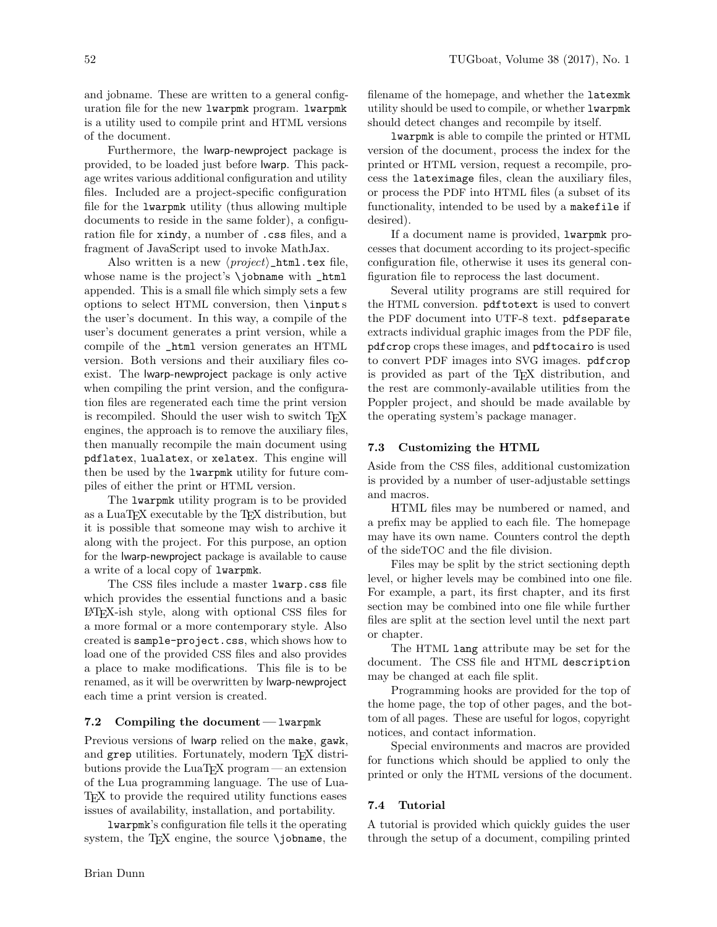and jobname. These are written to a general configuration file for the new lwarpmk program. lwarpmk is a utility used to compile print and HTML versions of the document.

Furthermore, the lwarp-newproject package is provided, to be loaded just before lwarp. This package writes various additional configuration and utility files. Included are a project-specific configuration file for the lwarpmk utility (thus allowing multiple documents to reside in the same folder), a configuration file for xindy, a number of .css files, and a fragment of JavaScript used to invoke MathJax.

Also written is a new  $\langle project\rangle$ \_html.tex file, whose name is the project's **\jobname** with \_html appended. This is a small file which simply sets a few options to select HTML conversion, then \input s the user's document. In this way, a compile of the user's document generates a print version, while a compile of the \_html version generates an HTML version. Both versions and their auxiliary files coexist. The lwarp-newproject package is only active when compiling the print version, and the configuration files are regenerated each time the print version is recompiled. Should the user wish to switch T<sub>E</sub>X engines, the approach is to remove the auxiliary files, then manually recompile the main document using pdflatex, lualatex, or xelatex. This engine will then be used by the lwarpmk utility for future compiles of either the print or HTML version.

The lwarpmk utility program is to be provided as a LuaTEX executable by the TEX distribution, but it is possible that someone may wish to archive it along with the project. For this purpose, an option for the lwarp-newproject package is available to cause a write of a local copy of lwarpmk.

The CSS files include a master lwarp.css file which provides the essential functions and a basic LATEX-ish style, along with optional CSS files for a more formal or a more contemporary style. Also created is sample-project.css, which shows how to load one of the provided CSS files and also provides a place to make modifications. This file is to be renamed, as it will be overwritten by lwarp-newproject each time a print version is created.

#### 7.2 Compiling the document— lwarpmk

Previous versions of lwarp relied on the make, gawk, and grep utilities. Fortunately, modern TEX distributions provide the LuaT<sub>EX</sub> program — an extension of the Lua programming language. The use of Lua-TEX to provide the required utility functions eases issues of availability, installation, and portability.

lwarpmk's configuration file tells it the operating system, the TFX engine, the source  $\iota$  jobname, the filename of the homepage, and whether the latexmk utility should be used to compile, or whether lwarpmk should detect changes and recompile by itself.

lwarpmk is able to compile the printed or HTML version of the document, process the index for the printed or HTML version, request a recompile, process the lateximage files, clean the auxiliary files, or process the PDF into HTML files (a subset of its functionality, intended to be used by a makefile if desired).

If a document name is provided, lwarpmk processes that document according to its project-specific configuration file, otherwise it uses its general configuration file to reprocess the last document.

Several utility programs are still required for the HTML conversion. pdftotext is used to convert the PDF document into UTF-8 text. pdfseparate extracts individual graphic images from the PDF file, pdfcrop crops these images, and pdftocairo is used to convert PDF images into SVG images. pdfcrop is provided as part of the TEX distribution, and the rest are commonly-available utilities from the Poppler project, and should be made available by the operating system's package manager.

#### 7.3 Customizing the HTML

Aside from the CSS files, additional customization is provided by a number of user-adjustable settings and macros.

HTML files may be numbered or named, and a prefix may be applied to each file. The homepage may have its own name. Counters control the depth of the sideTOC and the file division.

Files may be split by the strict sectioning depth level, or higher levels may be combined into one file. For example, a part, its first chapter, and its first section may be combined into one file while further files are split at the section level until the next part or chapter.

The HTML lang attribute may be set for the document. The CSS file and HTML description may be changed at each file split.

Programming hooks are provided for the top of the home page, the top of other pages, and the bottom of all pages. These are useful for logos, copyright notices, and contact information.

Special environments and macros are provided for functions which should be applied to only the printed or only the HTML versions of the document.

### 7.4 Tutorial

A tutorial is provided which quickly guides the user through the setup of a document, compiling printed